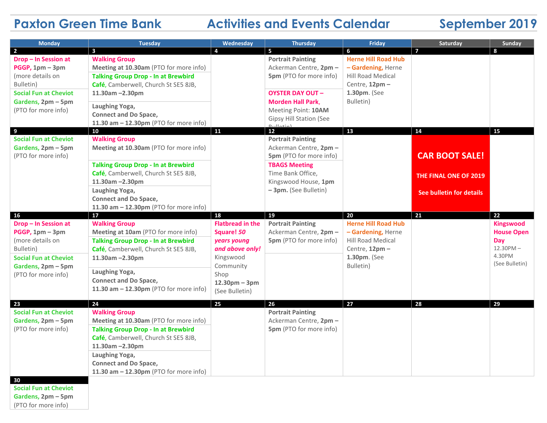## **Paxton Green Time Bank Activities and Events Calendar September 2019**

| <b>Monday</b>                                                                                                                                              | <b>Tuesday</b>                                                                                                                                       | Wednesday                                                                                         | <b>Thursday</b>                                                                      | Friday                                                                                                                      | Saturday                 | Sunday                                |
|------------------------------------------------------------------------------------------------------------------------------------------------------------|------------------------------------------------------------------------------------------------------------------------------------------------------|---------------------------------------------------------------------------------------------------|--------------------------------------------------------------------------------------|-----------------------------------------------------------------------------------------------------------------------------|--------------------------|---------------------------------------|
| $\overline{2}$                                                                                                                                             | $\overline{\mathbf{3}}$                                                                                                                              | 4                                                                                                 | 5                                                                                    | 6                                                                                                                           | $\overline{7}$           | 8                                     |
| Drop - In Session at<br>PGGP, 1pm - 3pm<br>(more details on<br>Bulletin)<br><b>Social Fun at Cheviot</b><br>Gardens, 2pm - 5pm<br>(PTO for more info)      | <b>Walking Group</b><br>Meeting at 10.30am (PTO for more info)<br><b>Talking Group Drop - In at Brewbird</b><br>Café, Camberwell, Church St SE5 8JB, |                                                                                                   | <b>Portrait Painting</b><br>Ackerman Centre, 2pm -<br><b>5pm</b> (PTO for more info) | <b>Herne Hill Road Hub</b><br>- Gardening, Herne<br><b>Hill Road Medical</b><br>Centre, 12pm -                              |                          |                                       |
|                                                                                                                                                            | 11.30am $-2.30$ pm<br>Laughing Yoga,                                                                                                                 |                                                                                                   | <b>OYSTER DAY OUT -</b><br><b>Morden Hall Park,</b>                                  | 1.30pm. (See<br>Bulletin)                                                                                                   |                          |                                       |
|                                                                                                                                                            | <b>Connect and Do Space,</b><br>11.30 am - 12.30pm (PTO for more info)                                                                               |                                                                                                   | Meeting Point: 10AM<br>Gipsy Hill Station (See<br>ا مندملل ب                         |                                                                                                                             |                          |                                       |
| 9<br><b>Social Fun at Cheviot</b><br>Gardens, 2pm - 5pm<br>(PTO for more info)                                                                             | 10<br><b>Walking Group</b><br>Meeting at 10.30am (PTO for more info)                                                                                 | 11                                                                                                | 12 <sup>2</sup><br><b>Portrait Painting</b><br>Ackerman Centre, 2pm -                | 13                                                                                                                          | 14                       | 15                                    |
|                                                                                                                                                            | <b>Talking Group Drop - In at Brewbird</b>                                                                                                           |                                                                                                   | 5pm (PTO for more info)<br><b>TBAGS Meeting</b>                                      |                                                                                                                             | <b>CAR BOOT SALE!</b>    |                                       |
|                                                                                                                                                            | Café, Camberwell, Church St SE5 8JB,<br>11.30am -2.30pm                                                                                              |                                                                                                   | Time Bank Office,<br>Kingswood House, 1pm                                            |                                                                                                                             | THE FINAL ONE OF 2019    |                                       |
|                                                                                                                                                            | Laughing Yoga,<br><b>Connect and Do Space,</b><br>11.30 am - 12.30pm (PTO for more info)                                                             |                                                                                                   | - 3pm. (See Bulletin)                                                                |                                                                                                                             | See bulletin for details |                                       |
| 16                                                                                                                                                         | 17                                                                                                                                                   | 18                                                                                                | 19                                                                                   | 20                                                                                                                          | 21                       | 22                                    |
| Drop - In Session at<br>$PGGP$ , 1pm $-3$ pm<br>(more details on<br>Bulletin)<br><b>Social Fun at Cheviot</b><br>Gardens, 2pm - 5pm<br>(PTO for more info) | <b>Walking Group</b><br>Meeting at 10am (PTO for more info)                                                                                          | <b>Flatbread in the</b><br>Square! 50<br>years young<br>and above only!<br>Kingswood<br>Community | <b>Portrait Painting</b><br>Ackerman Centre, 2pm -<br><b>5pm</b> (PTO for more info) | <b>Herne Hill Road Hub</b><br>- Gardening, Herne<br><b>Hill Road Medical</b><br>Centre, 12pm -<br>1.30pm. (See<br>Bulletin) |                          | <b>Kingswood</b><br><b>House Open</b> |
|                                                                                                                                                            | <b>Talking Group Drop - In at Brewbird</b><br>Café, Camberwell, Church St SE5 8JB,                                                                   |                                                                                                   |                                                                                      |                                                                                                                             |                          | Day<br>$12.30$ PM $-$<br>4.30PM       |
|                                                                                                                                                            | 11.30am -2.30pm                                                                                                                                      |                                                                                                   |                                                                                      |                                                                                                                             |                          | (See Bulletin)                        |
|                                                                                                                                                            | Laughing Yoga,<br><b>Connect and Do Space,</b>                                                                                                       | Shop<br>$12.30pm - 3pm$                                                                           |                                                                                      |                                                                                                                             |                          |                                       |
|                                                                                                                                                            | 11.30 $am - 12.30pm$ (PTO for more info)                                                                                                             | (See Bulletin)                                                                                    |                                                                                      |                                                                                                                             |                          |                                       |
| 23                                                                                                                                                         | 24                                                                                                                                                   | 25                                                                                                | 26                                                                                   | 27                                                                                                                          | 28                       | 29                                    |
| <b>Social Fun at Cheviot</b>                                                                                                                               | <b>Walking Group</b>                                                                                                                                 |                                                                                                   | <b>Portrait Painting</b>                                                             |                                                                                                                             |                          |                                       |
| Gardens, 2pm - 5pm<br>(PTO for more info)                                                                                                                  | Meeting at 10.30am (PTO for more info)<br><b>Talking Group Drop - In at Brewbird</b>                                                                 |                                                                                                   | Ackerman Centre, 2pm -<br>5pm (PTO for more info)                                    |                                                                                                                             |                          |                                       |
|                                                                                                                                                            | Café, Camberwell, Church St SE5 8JB,                                                                                                                 |                                                                                                   |                                                                                      |                                                                                                                             |                          |                                       |
|                                                                                                                                                            | 11.30am -2.30pm                                                                                                                                      |                                                                                                   |                                                                                      |                                                                                                                             |                          |                                       |
|                                                                                                                                                            | Laughing Yoga,                                                                                                                                       |                                                                                                   |                                                                                      |                                                                                                                             |                          |                                       |
|                                                                                                                                                            | <b>Connect and Do Space,</b><br>11.30 $am - 12.30pm$ (PTO for more info)                                                                             |                                                                                                   |                                                                                      |                                                                                                                             |                          |                                       |
| 30                                                                                                                                                         |                                                                                                                                                      |                                                                                                   |                                                                                      |                                                                                                                             |                          |                                       |

**Social Fun at Cheviot Gardens, 2pm – 5pm** (PTO for more info)